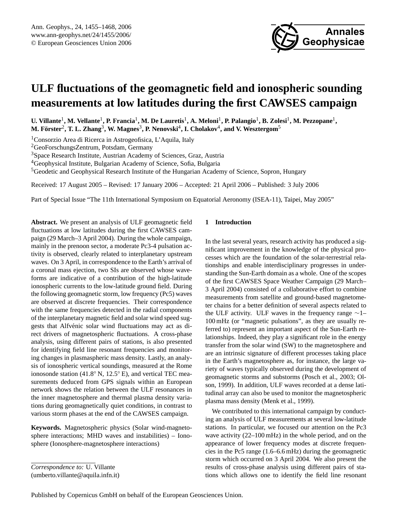

# **ULF fluctuations of the geomagnetic field and ionospheric sounding measurements at low latitudes during the first CAWSES campaign**

 $U$ . Villante<sup>1</sup>, M. Vellante<sup>1</sup>, P. Francia<sup>1</sup>, M. De Lauretis<sup>1</sup>, A. Meloni<sup>1</sup>, P. Palangio<sup>1</sup>, B. Zolesi<sup>1</sup>, M. Pezzopane<sup>1</sup>,  ${\bf M.\ F\ddot{o}rster^2,\,T.\,L.\,Zhang^3,\,W.\,Magnes^3,\,P.\,Nenovski^4,\,I.\,Cholakov^4,\,and\,V.\,Wesztergom^5}$ 

<sup>1</sup>Consorzio Area di Ricerca in Astrogeofisica, L'Aquila, Italy

<sup>2</sup>GeoForschungsZentrum, Potsdam, Germany

<sup>3</sup>Space Research Institute, Austrian Academy of Sciences, Graz, Austria

<sup>4</sup>Geophysical Institute, Bulgarian Academy of Science, Sofia, Bulgaria

<sup>5</sup>Geodetic and Geophysical Research Institute of the Hungarian Academy of Science, Sopron, Hungary

Received: 17 August 2005 – Revised: 17 January 2006 – Accepted: 21 April 2006 – Published: 3 July 2006

Part of Special Issue "The 11th International Symposium on Equatorial Aeronomy (ISEA-11), Taipei, May 2005"

**Abstract.** We present an analysis of ULF geomagnetic field fluctuations at low latitudes during the first CAWSES campaign (29 March–3 April 2004). During the whole campaign, mainly in the prenoon sector, a moderate Pc3-4 pulsation activity is observed, clearly related to interplanetary upstream waves. On 3 April, in correspondence to the Earth's arrival of a coronal mass ejection, two SIs are observed whose waveforms are indicative of a contribution of the high-latitude ionospheric currents to the low-latitude ground field. During the following geomagnetic storm, low frequency (Pc5) waves are observed at discrete frequencies. Their correspondence with the same frequencies detected in the radial components of the interplanetary magnetic field and solar wind speed suggests that Alfvénic solar wind fluctuations may act as direct drivers of magnetospheric fluctuations. A cross-phase analysis, using different pairs of stations, is also presented for identifying field line resonant frequencies and monitoring changes in plasmaspheric mass density. Lastly, an analysis of ionospheric vertical soundings, measured at the Rome ionosonde station (41.8◦ N, 12.5◦ E), and vertical TEC measurements deduced from GPS signals within an European network shows the relation between the ULF resonances in the inner magnetosphere and thermal plasma density variations during geomagnetically quiet conditions, in contrast to various storm phases at the end of the CAWSES campaign.

**Keywords.** Magnetospheric physics (Solar wind-magnetosphere interactions; MHD waves and instabilities) – Ionosphere (Ionosphere-magnetosphere interactions)

# **1 Introduction**

In the last several years, research activity has produced a significant improvement in the knowledge of the physical processes which are the foundation of the solar-terrestrial relationships and enable interdisciplinary progresses in understanding the Sun-Earth domain as a whole. One of the scopes of the first CAWSES Space Weather Campaign (29 March– 3 April 2004) consisted of a collaborative effort to combine measurements from satellite and ground-based magnetometer chains for a better definition of several aspects related to the ULF activity. ULF waves in the frequency range ∼1– 100 mHz (or "magnetic pulsations", as they are usually referred to) represent an important aspect of the Sun-Earth relationships. Indeed, they play a significant role in the energy transfer from the solar wind (SW) to the magnetosphere and are an intrinsic signature of different processes taking place in the Earth's magnetosphere as, for instance, the large variety of waves typically observed during the development of geomagnetic storms and substorms (Posch et al., 2003; Olson, 1999). In addition, ULF waves recorded at a dense latitudinal array can also be used to monitor the magnetospheric plasma mass density (Menk et al., 1999).

We contributed to this international campaign by conducting an analysis of ULF measurements at several low-latitude stations. In particular, we focused our attention on the Pc3 wave activity (22–100 mHz) in the whole period, and on the appearance of lower frequency modes at discrete frequencies in the Pc5 range (1.6–6.6 mHz) during the geomagnetic storm which occurred on 3 April 2004. We also present the results of cross-phase analysis using different pairs of stations which allows one to identify the field line resonant

*Correspondence to:* U. Villante

<span id="page-0-0"></span><sup>(</sup>umberto.villante@aquila.infn.it)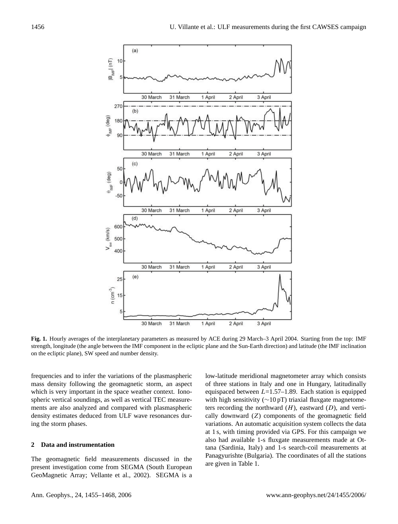

**Fig. 1.** Hourly averages of the interplanetary parameters as measured by ACE during 29 March–3 April 2004. Starting from the top: IMF strength, longitude (the angle between the IMF component in the ecliptic plane and the Sun-Earth direction) and latitude (the IMF inclination on the ecliptic plane), SW speed and number density.

frequencies and to infer the variations of the plasmaspheric mass density following the geomagnetic storm, an aspect which is very important in the space weather context. Ionospheric vertical soundings, as well as vertical TEC measurements are also analyzed and compared with plasmaspheric density estimates deduced from ULF wave resonances during the storm phases.

#### **2 Data and instrumentation**

The geomagnetic field measurements discussed in the present investigation come from SEGMA (South European GeoMagnetic Array; Vellante et al., 2002). SEGMA is a

of three stations in Italy and one in Hungary, latitudinally low-latitude meridional magnetometer array which consists equispaced between  $L=1.57-1.89$ . Each station is equipped with high sensitivity (∼10 pT) triaxial fluxgate magnetometers recording the northward  $(H)$ , eastward  $(D)$ , and vertically downward (Z) components of the geomagnetic field variations. An automatic acquisition system collects the data at 1 s, with timing provided via GPS. For this campaign we also had available 1-s fluxgate measurements made at Ottana (Sardinia, Italy) and 1-s search-coil measurements at Panagyurishte (Bulgaria). The coordinates of all the stations are given in Table 1.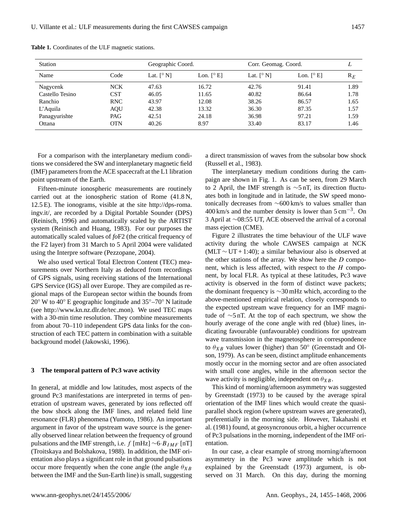| <b>Station</b>  |            | Geographic Coord. |                            | Corr. Geomag. Coord. |                            | L              |
|-----------------|------------|-------------------|----------------------------|----------------------|----------------------------|----------------|
| Name            | Code       | Lat. $[^\circ N]$ | Lon. $[^\circ \mathrm{E}]$ | Lat. $[^{\circ}$ N]  | Lon. $[^\circ \mathrm{E}]$ | $\mathrm{R}_E$ |
| Nagycenk        | <b>NCK</b> | 47.63             | 16.72                      | 42.76                | 91.41                      | 1.89           |
| Castello Tesino | <b>CST</b> | 46.05             | 11.65                      | 40.82                | 86.64                      | 1.78           |
| Ranchio         | <b>RNC</b> | 43.97             | 12.08                      | 38.26                | 86.57                      | 1.65           |
| $L'$ Aquila     | <b>AQU</b> | 42.38             | 13.32                      | 36.30                | 87.35                      | 1.57           |
| Panagyurishte   | PAG        | 42.51             | 24.18                      | 36.98                | 97.21                      | 1.59           |
| Ottana          | <b>OTN</b> | 40.26             | 8.97                       | 33.40                | 83.17                      | 1.46           |

**Table 1.** Coordinates of the ULF magnetic stations.

For a comparison with the interplanetary medium conditions we considered the SW and interplanetary magnetic field (IMF) parameters from the ACE spacecraft at the L1 libration point upstream of the Earth.

Fifteen-minute ionospheric measurements are routinely carried out at the ionospheric station of Rome (41.8 N, 12.5 E). The ionograms, visible at the site [http://dps-roma.](http://dps-roma.ingv.it/) [ingv.it/,](http://dps-roma.ingv.it/) are recorded by a Digital Portable Sounder (DPS) (Reinisch, 1996) and automatically scaled by the ARTIST system (Reinisch and Huang, 1983). For our purposes the automatically scaled values of *fo*F2 (the critical frequency of the F2 layer) from 31 March to 5 April 2004 were validated using the Interpre software (Pezzopane, 2004).

We also used vertical Total Electron Content (TEC) measurements over Northern Italy as deduced from recordings of GPS signals, using receiving stations of the International GPS Service (IGS) all over Europe. They are compiled as regional maps of the European sector within the bounds from 20◦ W to 40◦ E geographic longitude and 35◦–70◦ N latitude (see [http://www.kn.nz.dlr.de/tec](http://www.kn.nz.dlr.de/tec_mon) mon). We used TEC maps with a 30-min time resolution. They combine measurements from about 70–110 independent GPS data links for the construction of each TEC pattern in combination with a suitable background model (Jakowski, 1996).

#### **3 The temporal pattern of Pc3 wave activity**

In general, at middle and low latitudes, most aspects of the ground Pc3 manifestations are interpreted in terms of penetration of upstream waves, generated by ions reflected off the bow shock along the IMF lines, and related field line resonance (FLR) phenomena (Yumoto, 1986). An important argument in favor of the upstream wave source is the generally observed linear relation between the frequency of ground pulsations and the IMF strength, i.e. f [mHz]  $\sim$ 6·B<sub>IMF</sub> [nT] (Troitskaya and Bolshakova, 1988). In addition, the IMF orientation also plays a significant role in that ground pulsations occur more frequently when the cone angle (the angle  $\theta_{XB}$ between the IMF and the Sun-Earth line) is small, suggesting a direct transmission of waves from the subsolar bow shock (Russell et al., 1983).

The interplanetary medium conditions during the campaign are shown in Fig. 1. As can be seen, from 29 March to 2 April, the IMF strength is ∼5 nT, its direction fluctuates both in longitude and in latitude, the SW speed monotonically decreases from ∼600 km/s to values smaller than 400 km/s and the number density is lower than  $5 \text{ cm}^{-3}$ . On 3 April at ∼08:55 UT, ACE observed the arrival of a coronal mass ejection (CME).

Figure 2 illustrates the time behaviour of the ULF wave activity during the whole CAWSES campaign at NCK (MLT  $\sim$  UT + 1:40); a similar behaviour also is observed at the other stations of the array. We show here the  $D$  component, which is less affected, with respect to the  $H$  component, by local FLR. As typical at these latitudes, Pc3 wave activity is observed in the form of distinct wave packets; the dominant frequency is ∼30 mHz which, according to the above-mentioned empirical relation, closely corresponds to the expected upstream wave frequency for an IMF magnitude of ∼5 nT. At the top of each spectrum, we show the hourly average of the cone angle with red (blue) lines, indicating favourable (unfavourable) conditions for upstream wave transmission in the magnetosphere in correspondence to  $\theta_{XB}$  values lower (higher) than 50 $^{\circ}$  (Greenstadt and Olson, 1979). As can be seen, distinct amplitude enhancements mostly occur in the morning sector and are often associated with small cone angles, while in the afternoon sector the wave activity is negligible, independent on  $\theta_{XB}$ .

This kind of morning/afternoon asymmetry was suggested by Greenstadt (1973) to be caused by the average spiral orientation of the IMF lines which would create the quasiparallel shock region (where upstream waves are generated), preferentially in the morning side. However, Takahashi et al. (1981) found, at geosyncronous orbit, a higher occurrence of Pc3 pulsations in the morning, independent of the IMF orientation.

In our case, a clear example of strong morning/afternoon asymmetry in the Pc3 wave amplitude which is not explained by the Greenstadt (1973) argument, is observed on 31 March. On this day, during the morning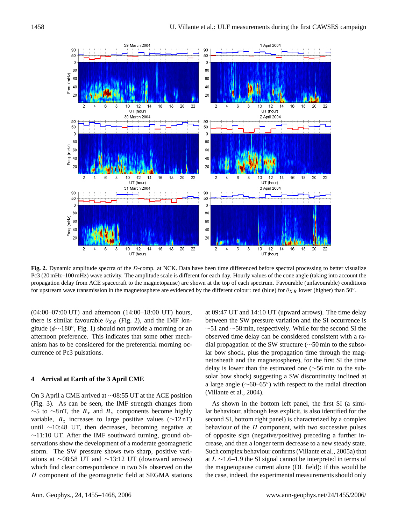

**Fig. 2.** Dynamic amplitude spectra of the D-comp. at NCK. Data have been time differenced before spectral processing to better visualize Pc3 (20 mHz–100 mHz) wave activity. The amplitude scale is different for each day. Hourly values of the cone angle (taking into account the propagation delay from ACE spacecraft to the magnetopause) are shown at the top of each spectrum. Favourable (unfavourable) conditions for upstream wave transmission in the magnetosphere are evidenced by the different colour: red (blue) for  $\theta_{XB}$  lower (higher) than 50°.

(04:00–07:00 UT) and afternoon (14:00–18:00 UT) hours, there is similar favourable  $\theta_{XB}$  (Fig. 2), and the IMF longitude (φ∼180◦ , Fig. 1) should not provide a morning or an afternoon preference. This indicates that some other mechanism has to be considered for the preferential morning occurrence of Pc3 pulsations.

#### **4 Arrival at Earth of the 3 April CME**

On 3 April a CME arrived at ∼08:55 UT at the ACE position (Fig. 3). As can be seen, the IMF strength changes from  $\sim$ 5 to  $\sim$ 8 nT, the  $B_x$  and  $B_y$  components become highly variable,  $B_z$  increases to large positive values ( $\sim$ 12 nT) until ∼10:48 UT, then decreases, becoming negative at ∼11:10 UT. After the IMF southward turning, ground observations show the development of a moderate geomagnetic storm. The SW pressure shows two sharp, positive variations at ∼08:58 UT and ∼13:12 UT (downward arrows) which find clear correspondence in two SIs observed on the H component of the geomagnetic field at SEGMA stations at 09:47 UT and 14:10 UT (upward arrows). The time delay between the SW pressure variation and the SI occurrence is ∼51 and ∼58 min, respectively. While for the second SI the observed time delay can be considered consistent with a radial propagation of the SW structure (∼50 min to the subsolar bow shock, plus the propagation time through the magnetosheath and the magnetosphere), for the first SI the time delay is lower than the estimated one (∼56 min to the subsolar bow shock) suggesting a SW discontinuity inclined at a large angle (∼60–65◦ ) with respect to the radial direction (Villante et al., 2004).

As shown in the bottom left panel, the first SI (a similar behaviour, although less explicit, is also identified for the second SI, bottom right panel) is characterized by a complex behaviour of the  $H$  component, with two successive pulses of opposite sign (negative/positive) preceding a further increase, and then a longer term decrease to a new steady state. Such complex behaviour confirms (Villante et al., 2005a) that at L ∼1.6–1.9 the SI signal cannot be interpreted in terms of the magnetopause current alone (DL field): if this would be the case, indeed, the experimental measurements should only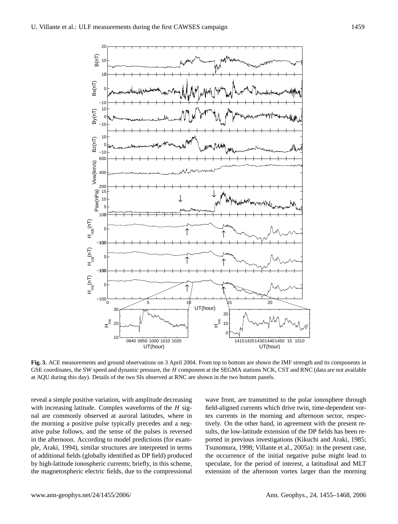

**Fig. 3.** ACE measurements and ground observations on 3 April 2004. From top to bottom are shown the IMF strength and its components in GSE coordinates, the SW speed and dynamic pressure, the H component at the SEGMA stations NCK, CST and RNC (data are not available at AQU during this day). Details of the two SIs observed at RNC are shown in the two bottom panels.

reveal a simple positive variation, with amplitude decreasing with increasing latitude. Complex waveforms of the  $H$  signal are commonly observed at auroral latitudes, where in the morning a positive pulse typically precedes and a negative pulse follows, and the sense of the pulses is reversed in the afternoon. According to model predictions (for example, Araki, 1994), similar structures are interpreted in terms of additional fields (globally identified as DP field) produced by high-latitude ionospheric currents; briefly, in this scheme, the magnetospheric electric fields, due to the compressional wave front, are transmitted to the polar ionosphere through field-aligned currents which drive twin, time-dependent vortex currents in the morning and afternoon sector, respectively. On the other hand, in agreement with the present results, the low-latitude extension of the DP fields has been reported in previous investigations (Kikuchi and Araki, 1985; Tsunomura, 1998; Villante et al., 2005a): in the present case, the occurrence of the initial negative pulse might lead to speculate, for the period of interest, a latitudinal and MLT extension of the afternoon vortex larger than the morning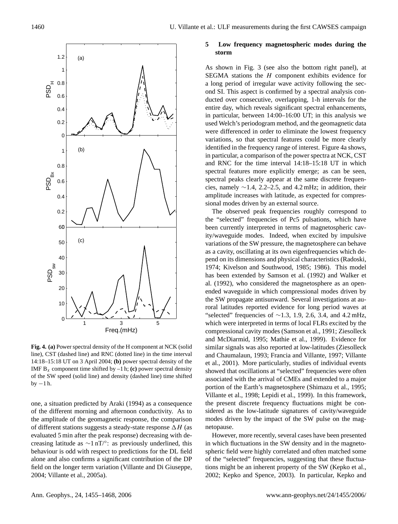

**Fig. 4. (a)** Power spectral density of the H component at NCK (solid line), CST (dashed line) and RNC (dotted line) in the time interval 14:18–15:18 UT on 3 April 2004; **(b)** power spectral density of the IMF  $B_x$  component time shifted by  $-1$  h; **(c)** power spectral density of the SW speed (solid line) and density (dashed line) time shifted by  $-1 h$ .

one, a situation predicted by Araki (1994) as a consequence of the different morning and afternoon conductivity. As to the amplitude of the geomagnetic response, the comparison of different stations suggests a steady-state response  $\Delta H$  (as evaluated 5 min after the peak response) decreasing with decreasing latitude as  $\sim$ 1 nT/°: as previously underlined, this behaviour is odd with respect to predictions for the DL field alone and also confirms a significant contribution of the DP field on the longer term variation (Villante and Di Giuseppe, 2004; Villante et al., 2005a).

# **5 Low frequency magnetospheric modes during the storm**

As shown in Fig. 3 (see also the bottom right panel), at SEGMA stations the  $H$  component exhibits evidence for a long period of irregular wave activity following the second SI. This aspect is confirmed by a spectral analysis conducted over consecutive, overlapping, 1-h intervals for the entire day, which reveals significant spectral enhancements, in particular, between 14:00–16:00 UT; in this analysis we used Welch's periodogram method, and the geomagnetic data were differenced in order to eliminate the lowest frequency variations, so that spectral features could be more clearly identified in the frequency range of interest. Figure 4a shows, in particular, a comparison of the power spectra at NCK, CST and RNC for the time interval 14:18–15:18 UT in which spectral features more explicitly emerge; as can be seen, spectral peaks clearly appear at the same discrete frequencies, namely ∼1.4, 2.2–2.5, and 4.2 mHz; in addition, their amplitude increases with latitude, as expected for compressional modes driven by an external source.

The observed peak frequencies roughly correspond to the "selected" frequencies of Pc5 pulsations, which have been currently interpreted in terms of magnetospheric cavity/waveguide modes. Indeed, when excited by impulsive variations of the SW pressure, the magnetosphere can behave as a cavity, oscillating at its own eigenfrequencies which depend on its dimensions and physical characteristics (Radoski, 1974; Kivelson and Southwood, 1985; 1986). This model has been extended by Samson et al. (1992) and Walker et al. (1992), who considered the magnetosphere as an openended waveguide in which compressional modes driven by the SW propagate antisunward. Several investigations at auroral latitudes reported evidence for long period waves at "selected" frequencies of  $\sim$ 1.3, 1.9, 2.6, 3.4, and 4.2 mHz, which were interpreted in terms of local FLRs excited by the compressional cavity modes (Samson et al., 1991; Ziesolleck and McDiarmid, 1995; Mathie et al., 1999). Evidence for similar signals was also reported at low-latitudes (Ziesolleck and Chaumalaun, 1993; Francia and Villante, 1997; Villante et al., 2001). More particularly, studies of individual events showed that oscillations at "selected" frequencies were often associated with the arrival of CMEs and extended to a major portion of the Earth's magnetosphere (Shimazu et al., 1995; Villante et al., 1998; Lepidi et al., 1999). In this framework, the present discrete frequency fluctuations might be considered as the low-latitude signatures of cavity/waveguide modes driven by the impact of the SW pulse on the magnetopause.

However, more recently, several cases have been presented in which fluctuations in the SW density and in the magnetospheric field were highly correlated and often matched some of the "selected" frequencies, suggesting that these fluctuations might be an inherent property of the SW (Kepko et al., 2002; Kepko and Spence, 2003). In particular, Kepko and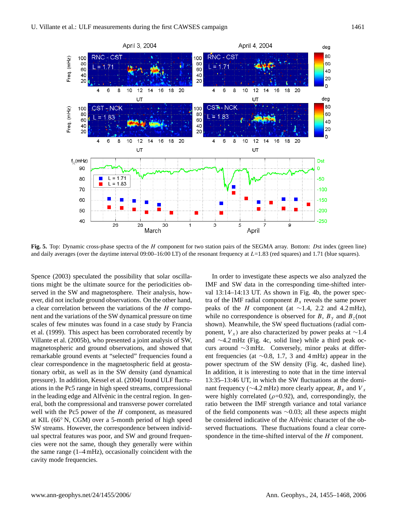

**Fig. 5.** Top: Dynamic cross-phase spectra of the H component for two station pairs of the SEGMA array. Bottom: Dst index (green line) and daily averages (over the daytime interval  $09:00-16:00$  LT) of the resonant frequency at  $L=1.83$  (red squares) and 1.71 (blue squares).

Spence (2003) speculated the possibility that solar oscillations might be the ultimate source for the periodicities observed in the SW and magnetosphere. Their analysis, however, did not include ground observations. On the other hand, a clear correlation between the variations of the H component and the variations of the SW dynamical pressure on time scales of few minutes was found in a case study by Francia et al. (1999). This aspect has been corroborated recently by Villante et al. (2005b), who presented a joint analysis of SW, magnetospheric and ground observations, and showed that remarkable ground events at "selected" frequencies found a clear correspondence in the magnetospheric field at geostationary orbit, as well as in the SW density (and dynamical pressure). In addition, Kessel et al. (2004) found ULF fluctuations in the Pc5 range in high speed streams, compressional in the leading edge and Alfvènic in the central region. In general, both the compressional and transverse power correlated well with the Pc5 power of the  $H$  component, as measured at KIL (66◦ N, CGM) over a 5-month period of high speed SW streams. However, the correspondence between individual spectral features was poor, and SW and ground frequencies were not the same, though they generally were within the same range (1–4 mHz), occasionally coincident with the cavity mode frequencies.

In order to investigate these aspects we also analyzed the IMF and SW data in the corresponding time-shifted interval 13:14–14:13 UT. As shown in Fig. 4b, the power spectra of the IMF radial component  $B_x$  reveals the same power peaks of the H component (at  $\sim$ 1.4, 2.2 and 4.2 mHz), while no correspondence is observed for B,  $B_y$  and  $B_z$ (not shown). Meanwhile, the SW speed fluctuations (radial component,  $V_x$ ) are also characterized by power peaks at ~1.4 and ∼4.2 mHz (Fig. 4c, solid line) while a third peak occurs around ∼3 mHz. Conversely, minor peaks at different frequencies (at ∼0.8, 1.7, 3 and 4 mHz) appear in the power spectrum of the SW density (Fig. 4c, dashed line). In addition, it is interesting to note that in the time interval 13:35–13:46 UT, in which the SW fluctuations at the dominant frequency ( $\sim$ 4.2 mHz) more clearly appear,  $B_x$  and  $V_x$ were highly correlated ( $\rho$ =0.92), and, correspondingly, the ratio between the IMF strength variance and total variance of the field components was ∼0.03; all these aspects might be considered indicative of the Alfvènic character of the observed fluctuations. These fluctuations found a clear correspondence in the time-shifted interval of the H component.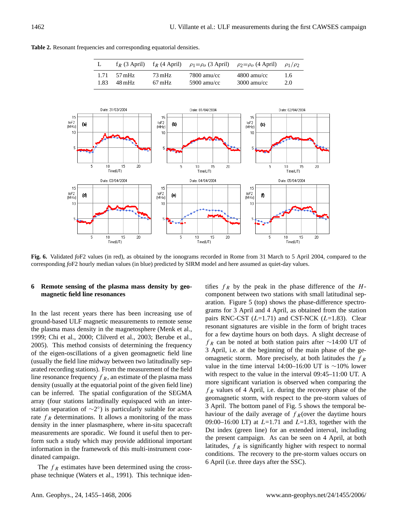**Table 2.** Resonant frequencies and corresponding equatorial densities.



corresponding *fo*F2 hourly median values (in blue) predicted by SIRM model and here assumed as quiet-day values. **Fig. 6.** Validated *fo*F2 values (in red), as obtained by the ionograms recorded in Rome from 31 March to 5 April 2004, compared to the

# **6 Remote sensing of the plasma mass density by geomagnetic field line resonances**

In the last recent years there has been increasing use of ground-based ULF magnetic measurements to remote sense the plasma mass density in the magnetosphere (Menk et al., 1999; Chi et al., 2000; Clilverd et al., 2003; Berube et al., 2005). This method consists of determining the frequency of the eigen-oscillations of a given geomagnetic field line (usually the field line midway between two latitudinally separated recording stations). From the measurement of the field line resonance frequency  $f_R$ , an estimate of the plasma mass density (usually at the equatorial point of the given field line) can be inferred. The spatial configuration of the SEGMA array (four stations latitudinally equispaced with an interstation separation of  $\sim$ 2°) is particularly suitable for accurate  $f_R$  determinations. It allows a monitoring of the mass density in the inner plasmasphere, where in-situ spacecraft measurements are sporadic. We found it useful then to perform such a study which may provide additional important information in the framework of this multi-instrument coordinated campaign.

The  $f_R$  estimates have been determined using the crossphase technique (Waters et al., 1991). This technique identifies  $f_R$  by the peak in the phase difference of the  $H$ component between two stations with small latitudinal separation. Figure 5 (top) shows the phase-difference spectrograms for 3 April and 4 April, as obtained from the station pairs RNC-CST  $(L=1.71)$  and CST-NCK  $(L=1.83)$ . Clear resonant signatures are visible in the form of bright traces for a few daytime hours on both days. A slight decrease of  $f_R$  can be noted at both station pairs after ∼14:00 UT of 3 April, i.e. at the beginning of the main phase of the geomagnetic storm. More precisely, at both latitudes the  $f_R$ value in the time interval 14:00–16:00 UT is ∼10% lower with respect to the value in the interval 09:45–11:00 UT. A more significant variation is observed when comparing the  $f_R$  values of 4 April, i.e. during the recovery phase of the geomagnetic storm, with respect to the pre-storm values of 3 April. The bottom panel of Fig. 5 shows the temporal behaviour of the daily average of  $f_R$ (over the daytime hours 09:00–16:00 LT) at  $L=1.71$  and  $L=1.83$ , together with the Dst index (green line) for an extended interval, including the present campaign. As can be seen on 4 April, at both latitudes,  $f_R$  is significantly higher with respect to normal conditions. The recovery to the pre-storm values occurs on 6 April (i.e. three days after the SSC).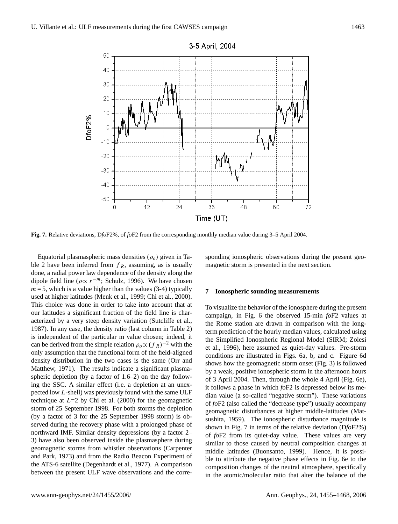

**Fig. 7.** Relative deviations, D*fo*F2%, of *fo*F2 from the corresponding monthly median value during 3–5 April 2004.

Equatorial plasmaspheric mass densities  $(\rho_o)$  given in Table 2 have been inferred from  $f_R$ , assuming, as is usually done, a radial power law dependence of the density along the dipole field line ( $\rho \propto r^{-m}$ ; Schulz, 1996). We have chosen  $m = 5$ , which is a value higher than the values (3-4) typically used at higher latitudes (Menk et al., 1999; Chi et al., 2000). This choice was done in order to take into account that at our latitudes a significant fraction of the field line is characterized by a very steep density variation (Sutcliffe et al., 1987). In any case, the density ratio (last column in Table 2) is independent of the particular m value chosen; indeed, it can be derived from the simple relation  $\rho_o \propto (f_R)^{-2}$  with the only assumption that the functional form of the field-aligned density distribution in the two cases is the same (Orr and Matthew, 1971). The results indicate a significant plasmaspheric depletion (by a factor of 1.6–2) on the day following the SSC. A similar effect (i.e. a depletion at an unexpected low L-shell) was previously found with the same ULF technique at  $L=2$  by Chi et al. (2000) for the geomagnetic storm of 25 September 1998. For both storms the depletion (by a factor of 3 for the 25 September 1998 storm) is observed during the recovery phase with a prolonged phase of northward IMF. Similar density depressions (by a factor 2– 3) have also been observed inside the plasmasphere during geomagnetic storms from whistler observations (Carpenter and Park, 1973) and from the Radio Beacon Experiment of the ATS-6 satellite (Degenhardt et al., 1977). A comparison between the present ULF wave observations and the corre-

sponding ionospheric observations during the present geomagnetic storm is presented in the next section.

#### **7 Ionospheric sounding measurements**

To visualize the behavior of the ionosphere during the present campaign, in Fig. 6 the observed 15-min *fo*F2 values at the Rome station are drawn in comparison with the longterm prediction of the hourly median values, calculated using the Simplified Ionospheric Regional Model (SIRM; Zolesi et al., 1996), here assumed as quiet-day values. Pre-storm conditions are illustrated in Figs. 6a, b, and c. Figure 6d shows how the geomagnetic storm onset (Fig. 3) is followed by a weak, positive ionospheric storm in the afternoon hours of 3 April 2004. Then, through the whole 4 April (Fig. 6e), it follows a phase in which *fo*F2 is depressed below its median value (a so-called "negative storm"). These variations of *fo*F2 (also called the "decrease type") usually accompany geomagnetic disturbances at higher middle-latitudes (Matsushita, 1959). The ionospheric disturbance magnitude is shown in Fig. 7 in terms of the relative deviation (D*fo*F2%) of *fo*F2 from its quiet-day value. These values are very similar to those caused by neutral composition changes at middle latitudes (Buonsanto, 1999). Hence, it is possible to attribute the negative phase effects in Fig. 6e to the composition changes of the neutral atmosphere, specifically in the atomic/molecular ratio that alter the balance of the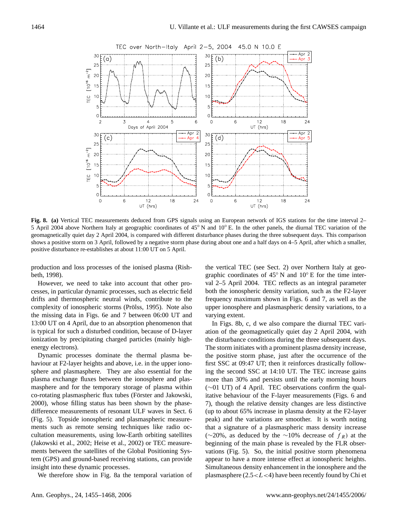

**Fig. 8. (a)** Vertical TEC measurements deduced from GPS signals using an European network of IGS stations for the time interval 2– 5 April 2004 above Northern Italy at geographic coordinates of 45◦ N and 10◦ E. In the other panels, the diurnal TEC variation of the geomagnetically quiet day 2 April 2004, is compared with different disturbance phases during the three subsequent days. This comparison shows a positive storm on 3 April, followed by a negative storm phase during about one and a half days on 4–5 April, after which a smaller, positive disturbance re-establishes at about 11:00 UT on 5 April.

production and loss processes of the ionised plasma (Rishbeth, 1998).

However, we need to take into account that other processes, in particular dynamic processes, such as electric field drifts and thermospheric neutral winds, contribute to the complexity of ionospheric storms (Prölss, 1995). Note also the missing data in Figs. 6e and 7 between 06:00 UT and 13:00 UT on 4 April, due to an absorption phenomenon that is typical for such a disturbed condition, because of D-layer ionization by precipitating charged particles (mainly highenergy electrons).

Dynamic processes dominate the thermal plasma behaviour at F2-layer heights and above, i.e. in the upper ionosphere and plasmasphere. They are also essential for the plasma exchange fluxes between the ionosphere and plasmasphere and for the temporary storage of plasma within co-rotating plasmaspheric flux tubes (Förster and Jakowski, 2000), whose filling status has been shown by the phasedifference measurements of resonant ULF waves in Sect. 6 (Fig. 5). Topside ionospheric and plasmaspheric measurements such as remote sensing techniques like radio occultation measurements, using low-Earth orbiting satellites (Jakowski et al., 2002; Heise et al., 2002) or TEC measurements between the satellites of the Global Positioning System (GPS) and ground-based receiving stations, can provide insight into these dynamic processes.

We therefore show in Fig. 8a the temporal variation of

the vertical TEC (see Sect. 2) over Northern Italy at geographic coordinates of 45◦ N and 10◦ E for the time interval 2–5 April 2004. TEC reflects as an integral parameter both the ionospheric density variation, such as the F2-layer frequency maximum shown in Figs. 6 and 7, as well as the upper ionosphere and plasmaspheric density variations, to a varying extent.

In Figs. 8b, c, d we also compare the diurnal TEC variation of the geomagnetically quiet day 2 April 2004, with the disturbance conditions during the three subsequent days. The storm initiates with a prominent plasma density increase, the positive storm phase, just after the occurrence of the first SSC at 09:47 UT; then it reinforces drastically following the second SSC at 14:10 UT. The TEC increase gains more than 30% and persists until the early morning hours (∼01 UT) of 4 April. TEC observations confirm the qualitative behaviour of the F-layer measurements (Figs. 6 and 7), though the relative density changes are less distinctive (up to about 65% increase in plasma density at the F2-layer peak) and the variations are smoother. It is worth noting that a signature of a plasmaspheric mass density increase (∼20%, as deduced by the ∼10% decrease of  $f_R$ ) at the beginning of the main phase is revealed by the FLR observations (Fig. 5). So, the initial positive storm phenomena appear to have a more intense effect at ionospheric heights. Simultaneous density enhancement in the ionosphere and the plasmasphere  $(2.5 < L < 4)$  have been recently found by Chi et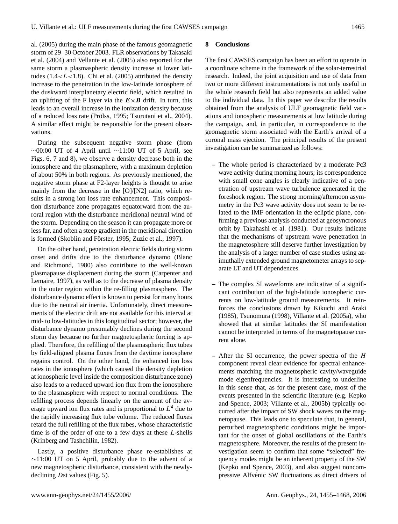al. (2005) during the main phase of the famous geomagnetic storm of 29–30 October 2003. FLR observations by Takasaki et al. (2004) and Vellante et al. (2005) also reported for the same storm a plasmaspheric density increase at lower latitudes  $(1.4 < L < 1.8)$ . Chi et al. (2005) attributed the density increase to the penetration in the low-latitude ionosphere of the duskward interplanetary electric field, which resulted in an uplifting of the F layer via the  $E \times B$  drift. In turn, this leads to an overall increase in the ionization density because of a reduced loss rate (Prölss, 1995; Tsurutani et al., 2004). A similar effect might be responsible for the present observations.

During the subsequent negative storm phase (from  $\sim$ 00:00 UT of 4 April until  $\sim$ 11:00 UT of 5 April, see Figs. 6, 7 and 8), we observe a density decrease both in the ionosphere and the plasmaphere, with a maximum depletion of about 50% in both regions. As previously mentioned, the negative storm phase at F2-layer heights is thought to arise mainly from the decrease in the [O]/[N2] ratio, which results in a strong ion loss rate enhancement. This composition disturbance zone propagates equatorward from the auroral region with the disturbance meridional neutral wind of the storm. Depending on the season it can propagate more or less far, and often a steep gradient in the meridional direction is formed (Skoblin and Förster, 1995; Zuzic et al., 1997).

On the other hand, penetration electric fields during storm onset and drifts due to the disturbance dynamo (Blanc and Richmond, 1980) also contribute to the well-known plasmapause displacement during the storm (Carpenter and Lemaire, 1997), as well as to the decrease of plasma density in the outer region within the re-filling plasmasphere. The disturbance dynamo effect is known to persist for many hours due to the neutral air inertia. Unfortunately, direct measurements of the electric drift are not available for this interval at mid- to low-latitudes in this longitudinal sector; however, the disturbance dynamo presumably declines during the second storm day because no further magnetospheric forcing is applied. Therefore, the refilling of the plasmaspheric flux tubes by field-aligned plasma fluxes from the daytime ionosphere regains control. On the other hand, the enhanced ion loss rates in the ionosphere (which caused the density depletion at ionospheric level inside the composition disturbance zone) also leads to a reduced upward ion flux from the ionosphere to the plasmasphere with respect to normal conditions. The refilling process depends linearly on the amount of the average upward ion flux rates and is proportional to  $L<sup>4</sup>$  due to the rapidly increasing flux tube volume. The reduced fluxes retard the full refilling of the flux tubes, whose characteristic time is of the order of one to a few days at these L-shells (Krinberg and Tashchilin, 1982).

Lastly, a positive disturbance phase re-establishes at ∼11:00 UT on 5 April, probably due to the advent of a new magnetospheric disturbance, consistent with the newlydeclining Dst values (Fig. 5).

# **8 Conclusions**

The first CAWSES campaign has been an effort to operate in a coordinate scheme in the framework of the solar-terrestrial research. Indeed, the joint acquisition and use of data from two or more different instrumentations is not only useful in the whole research field but also represents an added value to the individual data. In this paper we describe the results obtained from the analysis of ULF geomagnetic field variations and ionospheric measurements at low latitude during the campaign, and, in particular, in correspondence to the geomagnetic storm associated with the Earth's arrival of a coronal mass ejection. The principal results of the present investigation can be summarized as follows:

- **–** The whole period is characterized by a moderate Pc3 wave activity during morning hours; its correspondence with small cone angles is clearly indicative of a penetration of upstream wave turbulence generated in the foreshock region. The strong morning/afternoon asymmetry in the Pc3 wave activity does not seem to be related to the IMF orientation in the ecliptic plane, confirming a previous analysis conducted at geosyncronous orbit by Takahashi et al. (1981). Our results indicate that the mechanisms of upstream wave penetration in the magnetosphere still deserve further investigation by the analysis of a larger number of case studies using azimuthally extended ground magnetometer arrays to separate LT and UT dependences.
- **–** The complex SI waveforms are indicative of a significant contribution of the high-latitude ionospheric currents on low-latitude ground measurements. It reinforces the conclusions drawn by Kikuchi and Araki (1985), Tsunomura (1998), Villante et al. (2005a), who showed that at similar latitudes the SI manifestation cannot be interpreted in terms of the magnetopause current alone.
- **–** After the SI occurrence, the power spectra of the H component reveal clear evidence for spectral enhancements matching the magnetospheric cavity/waveguide mode eigenfrequencies. It is interesting to underline in this sense that, as for the present case, most of the events presented in the scientific literature (e.g. Kepko and Spence, 2003; Villante et al., 2005b) typically occurred after the impact of SW shock waves on the magnetopause. This leads one to speculate that, in general, perturbed magnetospheric conditions might be important for the onset of global oscillations of the Earth's magnetosphere. Moreover, the results of the present investigation seem to confirm that some "selected" frequency modes might be an inherent property of the SW (Kepko and Spence, 2003), and also suggest noncompressive Alfvénic SW fluctuations as direct drivers of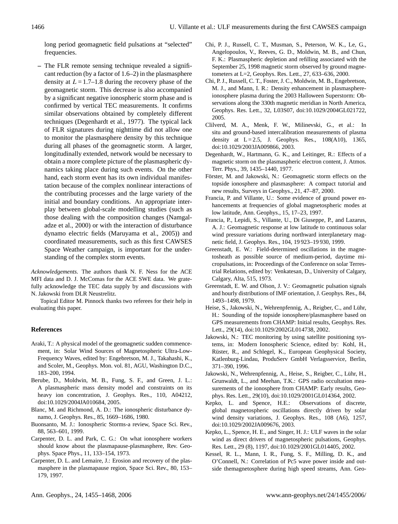long period geomagnetic field pulsations at "selected" frequencies.

**–** The FLR remote sensing technique revealed a significant reduction (by a factor of 1.6–2) in the plasmasphere density at  $L = 1.7-1.8$  during the recovery phase of the geomagnetic storm. This decrease is also accompanied by a significant negative ionospheric storm phase and is confirmed by vertical TEC measurements. It confirms similar observations obtained by completely different techniques (Degenhardt et al., 1977). The typical lack of FLR signatures during nighttime did not allow one to monitor the plasmasphere density by this technique during all phases of the geomagnetic storm. A larger, longitudinally extended, network would be necessary to obtain a more complete picture of the plasmaspheric dynamics taking place during such events. On the other hand, each storm event has its own individual manifestation because of the complex nonlinear interactions of the contributing processes and the large variety of the initial and boundary conditions. An appropriate interplay between global-scale modelling studies (such as those dealing with the composition changes (Namgaladze et al., 2000) or with the interaction of disturbance dynamo electric fields (Maruyama et al., 2005)) and coordinated measurements, such as this first CAWSES Space Weather campaign, is important for the understanding of the complex storm events.

*Acknowledgements.* The authors thank N. F. Ness for the ACE MFI data and D. J. McComas for the ACE SWE data. We gratefully acknowledge the TEC data supply by and discussions with N. Jakowski from DLR Neustrelitz.

Topical Editor M. Pinnock thanks two referees for their help in evaluating this paper.

# **References**

- Araki, T.: A physical model of the geomagnetic sudden commencement, in: Solar Wind Sources of Magnetospheric Ultra-Low-Frequency Waves, edited by: Engebretson, M. J., Takahashi, K., and Scoler, M., Geophys. Mon. vol. 81, AGU, Washington D.C., 183–200, 1994.
- Berube, D., Moldwin, M. B., Fung, S. F., and Green, J. L.: A plasmaspheric mass density model and constraints on its heavy ion concentration, J. Geophys. Res., 110, A04212, doi:10.1029/2004JA010684, 2005.
- Blanc, M. and Richmond, A. D.: The ionospheric disturbance dynamo, J. Geophys. Res., 85, 1669–1686, 1980.
- Buonsanto, M. J.: Ionospheric Storms-a review, Space Sci. Rev., 88, 563–601, 1999.
- Carpenter, D. L. and Park, C. G.: On what ionosphere workers should know about the plasmapause-plasmasphere, Rev. Geophys. Space Phys., 11, 133–154, 1973.
- Carpenter, D. L. and Lemaire, J.: Erosion and recovery of the plasmasphere in the plasmapause region, Space Sci. Rev., 80, 153– 179, 1997.
- Chi, P. J., Russell, C. T., Musman, S., Peterson, W. K., Le, G., Angelopoulos, V., Reeves, G. D., Moldwin, M. B., and Chun, F. K.: Plasmaspheric depletion and refilling associated with the September 25, 1998 magnetic storm observed by ground magnetometers at L=2, Geophys. Res. Lett., 27, 633–636, 2000.
- Chi, P. J., Russell, C. T., Foster, J. C., Moldwin, M. B., Engebretson, M. J., and Mann, I. R.: Density enhancement in plasmasphereionosphere plasma during the 2003 Halloween Superstorm: Observations along the 330th magnetic meridian in North America, Geophys. Res. Lett., 32, L03S07, doi:10.1029/2004GL021722, 2005.
- Clilverd, M. A., Menk, F. W., Milinevski, G., et al.: In situ and ground-based intercalibration measurements of plasma density at  $L = 2.5$ , J. Geophys. Res.,  $108(A10)$ , 1365, doi:10.1029/2003JA009866, 2003.
- Degenhardt, W., Hartmann, G. K., and Leitinger, R.: Effects of a magnetic storm on the plasmaspheric electron content, J. Atmos. Terr. Phys., 39, 1435–1440, 1977.
- Förster, M. and Jakowski, N.: Geomagnetic storm effects on the topside ionosphere and plasmasphere: A compact tutorial and new results, Surveys in Geophys., 21, 47–87, 2000.
- Francia, P. and Villante, U.: Some evidence of ground power enhancements at frequencies of global magnetospheric modes at low latitude, Ann. Geophys., 15, 17–23, 1997.
- Francia, P., Lepidi, S., Villante, U., Di Giuseppe, P., and Lazarus, A. J.: Geomagnetic response at low latitude to continuous solar wind pressure variations during northward interplanetary magnetic field, J. Geophys. Res., 104, 19 923–19 930, 1999.
- Greenstadt, E. W.: Field-determined oscillations in the magnetosheath as possible source of medium-period, daytime micropulsations, in: Proceedings of the Conference on solar Terrestrial Relations, edited by: Venkatesan, D., University of Calgary, Calgary, Alta, 515, 1973.
- Greenstadt, E. W. and Olson, J. V.: Geomagnetic pulsation signals and hourly distributions of IMF orientation, J. Geophys. Res., 84, 1493–1498, 1979.
- Heise, S., Jakowski, N., Wehrenpfennig, A., Reigber, C., and Lühr, H.: Sounding of the topside ionosphere/plasmasphere based on GPS measurements from CHAMP: Initial results, Geophys. Res. Lett., 29(14), doi:10.1029/2002GL014738, 2002.
- Jakowski, N.: TEC monitoring by using satellite positioning systems, in: Modern Ionospheric Science, edited by: Kohl, H., Rüster, R., and Schlegel, K., European Geophysical Society, Katlenburg-Lindau, ProduServ GmbH Verlagsservice, Berlin, 371–390, 1996.
- Jakowski, N., Wehrenpfennig, A., Heise, S., Reigber, C., Lühr, H., Grunwaldt, L., and Meehan, T.K.: GPS radio occultation measurements of the ionosphere from CHAMP: Early results, Geophys. Res. Lett., 29(10), doi:10.1029/2001GL014364, 2002.
- Kepko, L. and Spence, H.E.: Observations of discrete, global magnetospheric oscillations directly driven by solar wind density variations, J. Geophys. Res., 108 (A6), 1257, doi:10.1029/2002JA009676, 2003.
- Kepko, L., Spence, H. E., and Singer, H. J.: ULF waves in the solar wind as direct drivers of magnetospheric pulsations, Geophys. Res. Lett., 29 (8), 1197, doi:10.1029/2001GL014405, 2002.
- Kessel, R. L., Mann, I. R., Fung, S. F., Milling, D. K., and O'Connell, N.: Correlation of Pc5 wave power inside and outside themagnetosphere during high speed streams, Ann. Geo-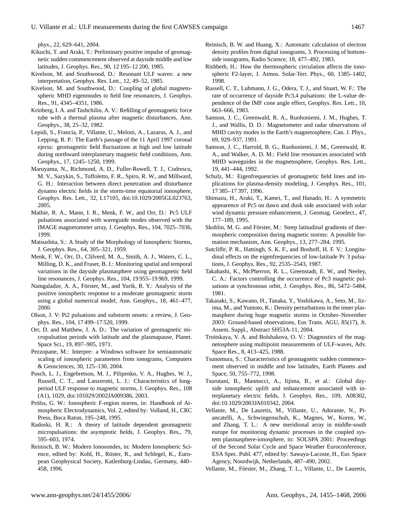phys., 22, 629–641, 2004.

- Kikuchi, T. and Araki, T.: Preliminary positive impulse of geomagnetic sudden commencement observed at dayside middle and low latitudes, J. Geophys. Res., 90, 12 195–12 200, 1985.
- Kivelson, M. and Southwood, D.: Resonant ULF waves: a new interpretation, Geophys. Res. Lett., 12, 49–52, 1985.
- Kivelson, M. and Southwood, D.: Coupling of global magnetospheric MHD eigenmodes to field line resonances, J. Geophys. Res., 91, 4345–4351, 1986.
- Krinberg, I. A. and Tashchilin, A. V.: Refilling of geomagnetic force tube with a thermal plasma after magnetic disturbances, Ann. Geophys., 38, 25–32, 1982.
- Lepidi, S., Francia, P., Villante, U., Meloni, A., Lazarus, A. J., and Lepping, R. P.: The Earth's passage of the 11 April 1997 coronal ejecta: geomagnetic field fluctuations at high and low latitude during northward interplanetary magnetic field conditions, Ann. Geophys., 17, 1245–1250, 1999.
- Maruyama, N., Richmond, A. D., Fuller-Rowell, T. J., Codrescu, M. V., Sazykin, S., Toffoletto, F. R., Spiro, R. W., and Millward, G. H.: Interaction between direct penetration and disturbance dynamo electric fields in the storm-time equatorial ionosphere, Geophys. Res. Lett., 32, L17105, doi:10.1029/2005GL023763, 2005.
- Mathie, R. A., Mann, I. R., Menk, F. W., and Orr, D.: Pc5 ULF pulsations associated with waveguide modes observed with the IMAGE magnetometer array, J. Geophys. Res., 104, 7025–7036, 1999.
- Matsushita, S.: A Study of the Morphology of Ionospheric Storms, J. Geophys. Res., 64, 305–321, 1959.
- Menk, F. W., Orr, D., Clilverd, M. A., Smith, A. J., Waters, C. L., Milling, D. K., and Fraser, B. J.: Monitoring spatial and temporal variations in the dayside plasmasphere using geomagnetic field line resonances, J. Geophys. Res., 104, 19 955–19 969, 1999.
- Namgaladze, A. A., Förster, M., and Yurik, R. Y.: Analysis of the positive ionospheric response to a moderate geomagnetic storm using a global numerical model, Ann. Geophys., 18, 461–477, 2000.
- Olson, J. V: Pi2 pulsations and substorm onsets: a review, J. Geophys. Res., 104, 17 499–17 520, 1999.
- Orr, D. and Matthew, J. A. D.: The variation of geomagnetic micropulsation periods with latitude and the plasmapause, Planet. Space Sci., 19, 897–905, 1971.
- Pezzopane, M.: Interpre: a Windows software for semiautomatic scaling of ionospheric parameters from ionograms, Computers & Geosciences, 30, 125–130, 2004.
- Posch, L. J., Engebretson, M. J., Pilipenko, V. A., Hughes, W. J., Russell, C. T., and Lanzerotti, L. J.: Characteristics of longperiod ULF response to magnetic storms, J. Geophys. Res., 108 (A1), 1029, doi:101029/2002JA009386, 2003.
- Prölss, G. W.: Ionospheric F-region storms, in: Handbook of Atmospheric Electrodynamics, Vol. 2, edited by: Volland, H., CRC Press, Boca Raton, 195–248, 1995.
- Radoski, H. R.: A theory of latitude dependent geomagnetic micropulsations: the asymptotic fields, J. Geophys. Res., 79, 595–603, 1974.
- Reinisch, B. W.: Modern Ionosondes, in: Modern Ionospheric Science, edited by: Kohl, H., Rüster, R., and Schlegel, K., European Geophysical Society, Katlenburg-Lindau, Germany, 440– 458, 1996.
- Reinisch, B. W. and Huang, X.: Automatic calculation of electron density profiles from digital ionograms, 3. Processing of bottomside ionograms, Radio Science, 18, 477–492, 1983.
- Rishbeth, H.: How the thermospheric circulation affects the ionospheric F2-layer, J. Atmos. Solar-Terr. Phys., 60, 1385–1402, 1998.
- Russell, C. T., Luhmann, J. G., Odera, T. J., and Stuart, W. F.: The rate of occurrence of dayside Pc3,4 pulsations: the L-value dependence of the IMF cone angle effect, Geophys. Res. Lett., 10, 663–666, 1983.
- Samson, J. C., Greenwald, R. A., Ruohoniemi, J. M., Hughes, T. J., and Wallis, D. D.: Magnetometer and radar observations of MHD cavity modes in the Earth's magnetosphere, Can. J. Phys., 69, 929–937, 1991.
- Samson, J. C., Harrold, B. G., Ruohoniemi, J. M., Greenwald, R. A., and Walker, A. D. M.: Field line resonances associated with MHD waveguides in the magnetosphere, Geophys. Res. Lett., 19, 441–444, 1992.
- Schulz, M.: Eigenfrequencies of geomagnetic field lines and implications for plasma-density modeling, J. Geophys. Res., 101, 17 385–17 397, 1996.
- Shimazu, H., Araki, T., Kamei, T., and Hanado, H.: A symmetric appearence of Pc5 on dawn and dusk side associated with solar wind dynamic pressure enhancement, J. Geomag. Geoelect., 47, 177–189, 1995.
- Skoblin, M. G. and Förster, M.: Steep latitudinal gradients of thermospheric composition during magnetic storms: A possible formation mechanism, Ann. Geophys., 13, 277–284, 1995.
- Sutcliffe, P. R., Hattingh, S. K. F., and Boshoff, H. F. V.: Longitudinal effects on the eigenfrequencies of low-latitude Pc 3 pulsations, J. Geophys. Res., 92, 2535–2543, 1987.
- Takahashi, K., McPherron, R. L., Greenstadt, E. W., and Neeley, C. A.: Factors controlling the occurrence of Pc3 magnetic pulsations at synchronous orbit, J. Geophys. Res., 86, 5472–5484, 1981.
- Takasaki, S., Kawano, H., Tanaka, Y., Yoshikawa, A., Seto, M., Iizima, M., and Yumoto, K.: Density perturbations in the inner plasmasphere during huge magnetic storms in October–November 2003: Ground-based observations, Eos Trans. AGU, 85(17), Jt. Assem. Suppl., Abstract SH53A-11, 2004.
- Troitskaya, V. A. and Bolshakova, O. V.: Diagnostics of the magnetosphere using multipoint measurements of ULF-waves, Adv. Space Res., 8, 413–425, 1988.
- Tsunomura, S.: Characteristics of geomagnetic sudden commencement observed in middle and low latitudes, Earth Planets and Space, 50, 755–772, 1998.
- Tsurutani, B., Mannucci, A., Iijima, B., et al.: Global dayside ionospheric uplift and enhancement associated with interplanetary electric fields, J. Geophys. Res., 109, A08302, doi:10.1029/2003JA010342, 2004.
- Vellante, M., De Lauretis, M., Villante, U., Adorante, N., Piancatelli, A., Schwingenschuh, K., Magnes, W., Koren, W., and Zhang, T. L.: A new meridional array in middle-south europe for monitoring dynamic processes in the coupled system plasmasphere-ionosphere, in: SOLSPA 2001: Proceedings of the Second Solar Cycle and Space Weather Euroconference, ESA Spec. Publ. 477, edited by: Sawaya-Lacoste, H., Eur. Space Agency, Noordwijk, Netherlands, 487–490, 2002.
- Vellante, M., Förster, M., Zhang, T. L., Villante, U., De Lauretis,